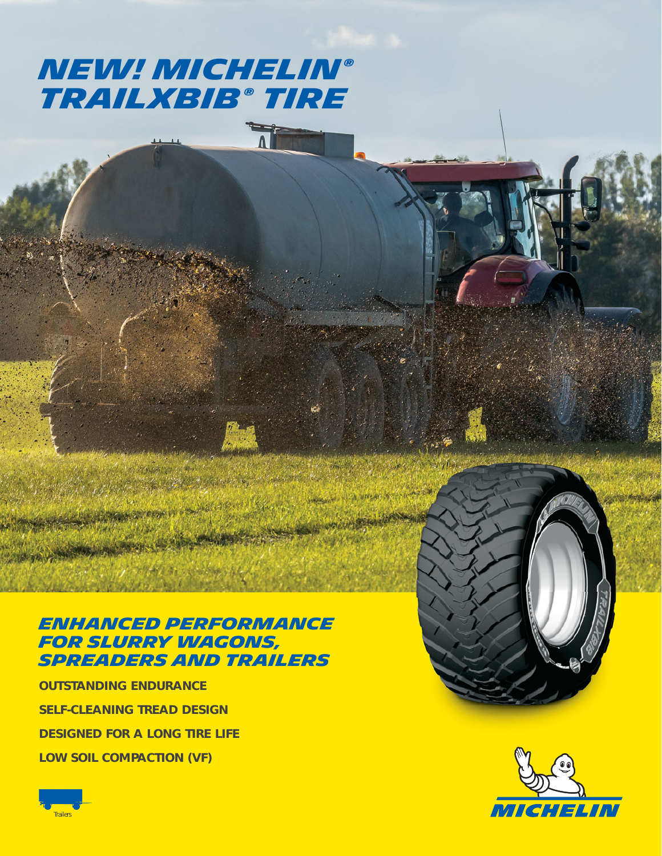# **NEW! MICHELIN® Trailxbib ® Tire**

 $\overline{1}$ 

### **Enhanced performance for Slurry Wagons, Spreaders and trailers**

**OUTSTANDING ENDURANCE SELF-CLEANING TREAD DESIGN DESIGNED FOR A LONG TIRE LIFE LOW SOIL COMPACTION (VF)**